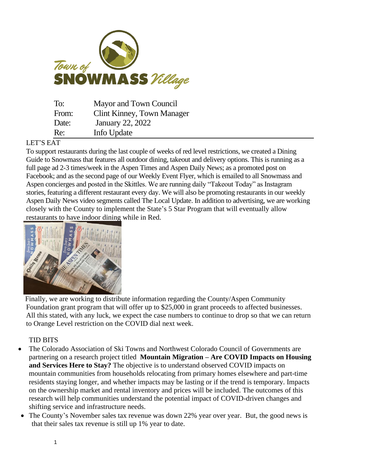

| To:   | Mayor and Town Council     |
|-------|----------------------------|
| From: | Clint Kinney, Town Manager |
| Date: | <b>January 22, 2022</b>    |
| Re:   | Info Update                |

## LET'S EAT

To support restaurants during the last couple of weeks of red level restrictions, we created a Dining Guide to Snowmass that features all outdoor dining, takeout and delivery options. This is running as a full page ad 2-3 times/week in the Aspen Times and Aspen Daily News; as a promoted post on Facebook; and as the second page of our Weekly Event Flyer, which is emailed to all Snowmass and Aspen concierges and posted in the Skittles. We are running daily "Takeout Today" as Instagram stories, featuring a different restaurant every day. We will also be promoting restaurants in our weekly Aspen Daily News video segments called The Local Update. In addition to advertising, we are working closely with the County to implement the State's 5 Star Program that will eventually allow restaurants to have indoor dining while in Red.



Finally, we are working to distribute information regarding the County/Aspen Community Foundation grant program that will offer up to \$25,000 in grant proceeds to affected businesses. All this stated, with any luck, we expect the case numbers to continue to drop so that we can return to Orange Level restriction on the COVID dial next week.

## TID BITS

- The Colorado Association of Ski Towns and Northwest Colorado Council of Governments are partnering on a research project titled **Mountain Migration – Are COVID Impacts on Housing and Services Here to Stay?** The objective is to understand observed COVID impacts on mountain communities from households relocating from primary homes elsewhere and part-time residents staying longer, and whether impacts may be lasting or if the trend is temporary. Impacts on the ownership market and rental inventory and prices will be included. The outcomes of this research will help communities understand the potential impact of COVID-driven changes and shifting service and infrastructure needs.
- The County's November sales tax revenue was down 22% year over year. But, the good news is that their sales tax revenue is still up 1% year to date.